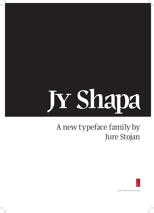# **Jy Shapa**

# A new typeface family by Jure Stojan



JACK YAN & ASSOCIAES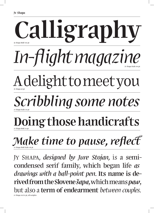

## A delight to meet you Jy Shapa 68 pt

# *Scribbling some notes* jy Shapa Italic 64 pt

## **Doing those handicrafts** jy Shapa Bold 54 pt

## *Make time to pause, reflect* jy Shapa Bold Italic 48 pt

Jy Shapa, *designed by Jure Stojan,* is a semicondensed serif family, which began life *as drawings with a ball-point pen*. **Its name is derived from the Slovene** *šapa***,** which means *paw***,** but also a **term of endearment** *between couples.* jy Shapa 30/33 pt, all weights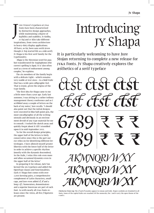ure Stojan's typefaces at jy&a Fonts have been characterized by distinctive design approaches, while maintaining a degree of legibility and usability. Jy Koliba, jy Raj and jy Klin take different inspirations, from 1940s architecture to heavy-duty display applications. All have, so far, been sans serifs (even though jy Raj started life as a slab serif). Jy Shapa is his first serif family for the typefoundry. J

*Shapa* is the Slovenian word for *paw,*  but transliterated for Anglophones (the correct spelling is *šapa*). It is 'also often used as a term of endearment among couples,' he explains.

The six members of the family begin with a delicate Light—which remains very usable at text sizes—to a Bold Italic that has a wide-pen calligraphic feel. That is ironic, given the origins of the type family.

'The first idea for Shapa came to me a little more than a year ago. Early last summer, I was sitting in a rather tedious management theory conference and so I scribbled away a couple of letters on the back of my notes,' Jure recalls. 'I should also point out that the initial designs were executed in blue ball-point pen, the most uncalligraphic of all the writing utensils and obviously in an environment devoid of any type material for me to consult. I tucked the sketch away and quickly forgot about it till I stumbled upon it in mid-September 2013.

'As for the overall design principles, the upper half of the letters is fairly conservative since this is the part our eye relies on for identifying different lettershapes. I have allowed myself greater liberties with the lower half of the letter in order to achieve a specific rhythm (mostly with the dynamic descenders). In the Italic, I relax this rule even more and allow occasional dynamics even in the upper half of the letter.'

In preparing it for release, Jack Yan kerned the six typefaces and added the OpenType classes and functionalities. Each jy Shapa font comes with over 5,000 kerning pairs, a comprehensive complement of Latin characters, small caps, and Jure even added *ct, st* and a long s (*ſ*). Numerators, denominators and a superior lowercase are part of each font. As with nearly all jy&a Fonts releases since the 1990s, all five *f*-ligatures are present.

# Introducing jy Shapa

It is particularly welcoming to have Jure Stojan returning to complete a new release for jy&a Fonts. Jy Shapa creatively explores the æsthetics of a serif typeface



**Clockwise from top:** The *ct* and *st* swashes appear in roman and italic. Rupee symbols are standard in all fonts. Some of the capital italics are swashed. Of the numerals, the *7* and *8* carry the open theme of the *6* and *9*.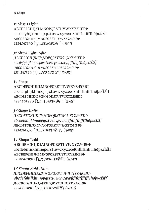Jy Shapa Light ABCDEFGHIJKLMNOPQRSTUVWXYZÆŒÐÞ abcdefghijklmnopqrstuvwxyzæœßfiflffffifflThðþĸctstſ abcdefghijklmnopqrstuvwxyzæœðþ 1234567890 ('¡¿:;.,\$£&€§₹@?!') (¡¿&!?)

*Jy Shapa Light Italic ABCDEFGHIJKLMNOPQRSTUVWXYZÆŒÐÞ abcdefghijklmnopqrstuvwxyzæœßfiflffffifflThðþĸctstſ abcdefghijklmnopqrstuvwxyzæœðþ 1234567890 ('¡¿:;.,\$£&€§₹@?!') (¡¿&!?)*

Jy Shapa ABCDEFGHIJKLMNOPQRSTUVWXYZÆŒÐÞ abcdefghijklmnopqrstuvwxyzæœßfiflffffifflThðþĸctstſ abcdefghijklmnopqrstuvwxyzæœðþ 1234567890 ('¡¿:;.,\$£&€§₹@?!') (¡¿&!?)

*Jy Shapa Italic ABCDEFGHIJKLMNOPQRSTUVW XYZÆŒÐÞ abcdefghijklmnopqrstuvwxyzæœßfiflffffifflThðþĸctstſ abcdefghijklmnopqrstuvwxyzæœðþ 1234567890 ('¡¿:;.,\$£&€§₹@?!') (¡¿&!?)*

**Jy Shapa Bold ABCDEFGHIJKLMNOPQRSTUVWXYZÆŒÐÞ abcdefghijklmnopqrstuvwxyzæœßfiflffffifflThðþĸctstſ abcdefghijklmnopqrstuvwxyzæœðþ 1234567890 ('¡¿:;.,\$£&€§₹@?!') (¡¿&!?)**

*Jy Shapa Bold Italic ABCDEFGHIJKLMNOPQRSTUVWXYZÆŒÐÞ abcdefghijklmnopqrstuvwxyzæœßfiflffffifflThðþĸctstſ abcdefghijklmnopqrstuvw xyzæœðþ 1234567890 ('¡¿:;.,\$£&€§₹@?!') (¡¿&!?)*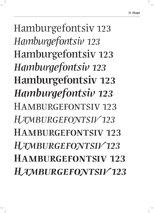**Jy Shapa**

Hamburgefontsiv 123 *Hamburgefontsiv 123* Hamburgefontsiv 123 *Hamburgefontsiv 123* **Hamburgefontsiv 123** *Hamburgefontsiv 123* HAMBURGEFONTSIV 123 *Hamburgefontsiv 123* HAMBURGEFONTSIV 123 *Hamburgefontsiv 123* **Hamburgefontsiv 123** *Hamburgefontsiv 123*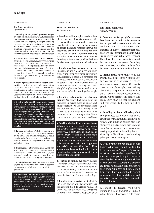### **Jy Shapa**

Jy Shapa 9/10 pt

**The Brand Manifesto** *September 2002*

**1. Branding unites people's passions.** People are not born financial creatures. We recognize that revenue and returns on investment do not concern the majority of people. Branding respects that we are passionate people who are inspired and who have freedom. Therefore, branding activities must be human and humane. Branding, not numbers, provides the interface between organizations and audiences.

**2. Brands must have focus to be relevant.**  Branding is not a mere gloss but something that must penetrate the whole organization. If there is a corporate philosophy, everything about that corporation must reflect that. Therefore, there must not be false claims about helping the planet. The philosophy must be focused enough and real enough to be meaningful to people.

**3. Branding is about delivering what you promise.**We believe that every claim the organization makes must be sincere and must be carried out. The strongest brands are promise-keeping ones. Failing to do so leads to an embarrassing exposé. Good branding leads to sincerity while failure to use branding principles leads to collapse.

**4. Good brands should make people happy.**  Whatever a brand has to offer to consumers *(whether purely functional, emotional, associative, empathetic)*, it must make people happy to part with their *(hard earned)* money and satisfied in the process. A company's employees must understand this and derive their own happiness and satisfaction from this. Shareholders should reward companies that have such brands and we in turn must create them sincerely for our clients.

**5. Finance is broken.** We believe money is a poor snapshot of human value. Brands, however, create value. The branding industry is about creating value for our customers. It makes more sense to measure the ingredients of branding and relationships.

**6. Brands are not advertisements.** Branding is not promotion. Promotion is part of branding, but only a small part. Good brands act, not just speak or sell. Organizations must live the brand, not just in advertising and promotions.

**7. Brands bring humanity to the organization.**  Brands are the rallying-point for the positive empowerment of all connected with the organization.

**8. Brands create community.** Brands are not created by a handful of big bosses, but by everyone in a system. A good branding exercise involves and builds a community. They, therefore, have a duty to educate and reinforce positive behaviours, and can even alleviate some of the world's worst problems.

### Jy Shapa 10/12 pt

**The Brand Manifesto** *September 2002*

**1. Branding unites people's passions.** People are not born financial creatures. We recognize that revenue and returns on investment do not concern the majority of people. Branding respects that we are passionate people who are inspired and who have freedom. Therefore, branding activities must be human and humane. Branding, not numbers, provides the interface between organizations and audiences.

**2. Brands must have focus to be relevant.**  Branding is not a mere gloss but something that must penetrate the whole organization. If there is a corporate philosophy, everything about that corporation must reflect that. Therefore, there must not be false claims about helping the planet. The philosophy must be focused enough and real enough to be meaningful to people.

**3. Branding is about delivering what you promise.** We believe that every claim the organization makes must be sincere and must be carried out. The strongest brands are promise-keeping ones. Failing to do so leads to an embarrassing exposé. Good branding leads to sincerity while failure to use branding principles leads to collapse.

**4. Good brands should make people happy.**  Whatever a brand has to offer to consumers *(whether purely functional, emotional, associative, empathetic)*, it must make people happy to part with their *(hard earned)* money and satisfied in the process. A company's employees must understand this and derive their own happiness and satisfaction from this. Shareholders should reward companies that have such brands and we in turn must create them sincerely for our clients.

**5. Finance is broken.** We believe money is a poor snapshot of human value. Brands, however, create value. The branding industry is about creating value for our customers. It makes more sense to measure the ingredients of branding and relationships.

**6. Brands are not advertisements.** Branding is not promotion. Promotion is part of branding, but only a small part. Good brands act, not just speak or sell. Organizations must live the brand, not just in adverJy Shapa 11/13 pt

**The Brand Manifesto** *September 2002*

**1. Branding unites people's passions.**  People are not born financial creatures. We recognize that revenue and returns on investment do not concern the majority of people. Branding respects that we are passionate people who are inspired and who have freedom. Therefore, branding activities must be human and humane. Branding, not numbers, provides the interface between organizations and audiences.

**2. Brands must have focus to be relevant.** Branding is not a mere gloss but something that must penetrate the whole organization. If there is a corporate philosophy, everything about that corporation must reflect that. Therefore, there must not be false claims about helping the planet. The philosophy must be focused enough and real enough to be meaningful to people.

**3. Branding is about delivering what you promise.** We believe that every claim the organization makes must be sincere and must be carried out. The strongest brands are promise-keeping ones. Failing to do so leads to an embarrassing exposé. Good branding leads to sincerity while failure to use branding principles leads to collapse.

**4. Good brands should make people happy.** Whatever a brand has to offer to consumers *(whether purely functional, emotional, associative, empathetic)*, it must make people happy to part with their *(hard earned)* money and satisfied in the process. A company's employees must understand this and derive their own happiness and satisfaction from this. Shareholders should reward companies that have such brands and we in turn must create them sincerely for our clients.

**5. Finance is broken.** We believe money is a poor snapshot of human value. Brands, however, create value.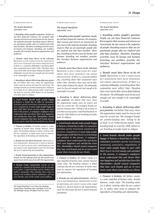Jy Shapa Italic 9/10 pt

*The Brand Manifesto September 2002*

*1. Branding unites people's passions. People are not born financial creatures. We recognize that revenue and returns on investment do not concern the majority of people. Branding respects that we are passionate people who are inspired and who have freedom. Therefore, branding activities must be human and humane. Branding, not numbers, provides the interface between organizations and audiences.*

*2. Brands must have focus to be relevant. Branding is not a mere gloss but something that must penetrate the whole organization. If there is a corporate philosophy, everything about that corporation must reflect that. Therefore, there must not be false claims about helping the planet. The philosophy must be focused enough and real enough to be meaningful to people.*

*3. Branding is about delivering what you promise. We believe that every claim the organization makes must be sincere and must be carried out. The strongest brands are promise-keeping ones. Failing to do so leads to an embarrassing exposé. Good branding leads to sincerity while failure to use branding principles leads to collapse.*

*4. Good brands should make people happy. W hatever a brand has to offer to consumers*  (whether purely functional, emotional, associative, empathetic), *it must make people happy to part with their* (hard earned) *money and satisfied in the process. A company's employees must understand this and derive their own happiness and satisfaction from this. Shareholders should reward companies that have such brands and we in turn must create them sincerely for our clients.* 

*5. Finance is broken. We believe money is a poor snapshot of human value. Brands, however, create value. The branding industry is about creating value for our customers. It makes more sense to measure the ingredients of branding and relationships.*

*6. Brands are not advertisements. Branding is not promotion. Promotion is part of branding, but only a small part. Good brands act, not just speak or sell. Organizations must live the brand, not just in advertising and promotions.*

*7. Brands bring humanity to the organization. Brands are the rallying-point for the positive empowerment of all connected with the organization.*

*8. Brands create community. Brands are not created by a handful of big bosses, but by everyone in a system. A good branding exercise involves and builds a community. They, therefore, have a duty to educate and reinforce positive behaviours, and can even alleviate some of the world's worst problems.*

'The Brand Manifesto' text from the Medinge Group (http://medinge.org). Copyright ©2002 by the Medinge Group. All rights reserved. e&oe.

### IY SHAPA ITALIC 10/12 PT

*The Brand Manifesto September 2002*

*1. Branding unites people's passions. People are not born financial creatures. We recognize that revenue and returns on investment do not concern the majority of people. Branding respects that we are passionate people who are inspired and who have freedom. Therefore, branding activities must be human and humane. Branding, not numbers, provides the interface between organizations and audiences.*

*2. Brands must have focus to be relevant. Branding is not a mere gloss but something that must penetrate the whole organization. If there is a corporate philosophy, everything about that corporation must reflect that. Therefore, there must not be false claims about helping the planet. The philosophy must be focused enough and real enough to be meaningful to people.*

*3. Branding is about delivering what you promise. We believe that every claim the organization makes must be sincere and must be carried out. The strongest brands are promise-keeping ones. Failing to do so leads to an embarrassing exposé. Good branding leads to sincerity while failure to use branding principles leads to collapse.*

*4. Good brands should make people happy. W hatever a brand has to offer to consumers*  (whether purely functional, emotional, associative, empathetic), *it must make people happy to part with their* (hard earned) *money and satisfied in the process. A company's employees must understand this and derive their own happiness and satisfaction from this. Shareholders should reward companies that have such brands and we in turn must create them sincerely for our clients.* 

*5. Finance is broken. We believe money is a poor snapshot of human value. Brands, however, create value. The branding industry is about creating value for our customers. It makes more sense to measure the ingredients of branding and relationships.*

*6. Brands are not advertisements. Branding is not promotion. Promotion is part of branding, but only a small part. Good brands act, not just speak or sell. Organizations must live the brand, not just in advertising and promotions.*

Jy Shapa Italic 11/13 pt

*The Brand Manifesto September 2002*

*1. Branding unites people's passions. People are not born financial creatures. We recognize that revenue and returns on investment do not concern the majority of people. Branding respects that we are passionate people who are inspired and who have freedom. Therefore, branding activities must be human and humane. Branding, not numbers, provides the interface between organizations and audiences.*

*2. Brands must have focus to be relevant. Branding is not a mere gloss but something that must penetrate the whole organization. If there is a corporate philosophy, everything about that corporation must reflect that. Therefore, there must not be false claims about helping the planet. The philosophy must be focused enough and real enough to be meaningful to people.*

*3. Branding is about delivering what you promise. We believe that every claim the organization makes must be sincere and must be carried out. The strongest brands are promise-keeping ones. Failing to do so leads to an embarrassing exposé. Good branding leads to sincerity while failure to use branding principles leads to collapse.*

*4. Good brands should make people happy. W hatever a brand has to offer to consumers* (whether purely functional, emotional, associative, empathetic), *it must make people happy to part with their* (hard earned) *money and satisfied in the process. A company's employees must understand this and derive their own happiness and satisfaction from this. Shareholders should reward companies that have such brands and we in turn must create them sincerely for our clients.* 

*5. Finance is broken. We believe money is a poor snapshot of human value. Brands, however, create value. The branding industry is about creating value for our customers. It makes more sense to measure the ingredients of branding and relationships.*